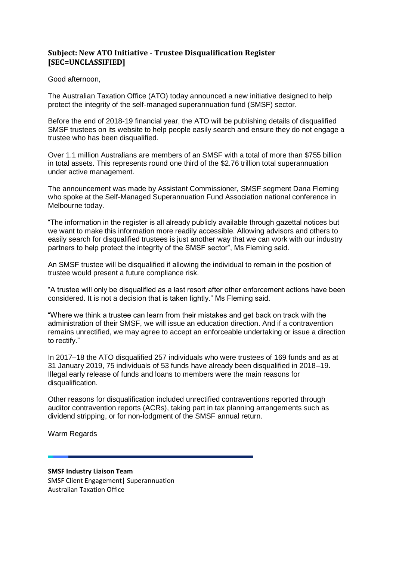## **Subject: New ATO Initiative - Trustee Disqualification Register [SEC=UNCLASSIFIED]**

## Good afternoon,

The Australian Taxation Office (ATO) today announced a new initiative designed to help protect the integrity of the self-managed superannuation fund (SMSF) sector.

Before the end of 2018-19 financial year, the ATO will be publishing details of disqualified SMSF trustees on its website to help people easily search and ensure they do not engage a trustee who has been disqualified.

Over 1.1 million Australians are members of an SMSF with a total of more than \$755 billion in total assets. This represents round one third of the \$2.76 trillion total superannuation under active management.

The announcement was made by Assistant Commissioner, SMSF segment Dana Fleming who spoke at the Self-Managed Superannuation Fund Association national conference in Melbourne today.

"The information in the register is all already publicly available through gazettal notices but we want to make this information more readily accessible. Allowing advisors and others to easily search for disqualified trustees is just another way that we can work with our industry partners to help protect the integrity of the SMSF sector", Ms Fleming said.

An SMSF trustee will be disqualified if allowing the individual to remain in the position of trustee would present a future compliance risk.

"A trustee will only be disqualified as a last resort after other enforcement actions have been considered. It is not a decision that is taken lightly." Ms Fleming said.

"Where we think a trustee can learn from their mistakes and get back on track with the administration of their SMSF, we will issue an education direction. And if a contravention remains unrectified, we may agree to accept an enforceable undertaking or issue a direction to rectify."

In 2017–18 the ATO disqualified 257 individuals who were trustees of 169 funds and as at 31 January 2019, 75 individuals of 53 funds have already been disqualified in 2018–19. Illegal early release of funds and loans to members were the main reasons for disqualification.

Other reasons for disqualification included unrectified contraventions reported through auditor contravention reports (ACRs), taking part in tax planning arrangements such as dividend stripping, or for non-lodgment of the SMSF annual return.

Warm Regards

## **SMSF Industry Liaison Team**

SMSF Client Engagement| Superannuation Australian Taxation Office